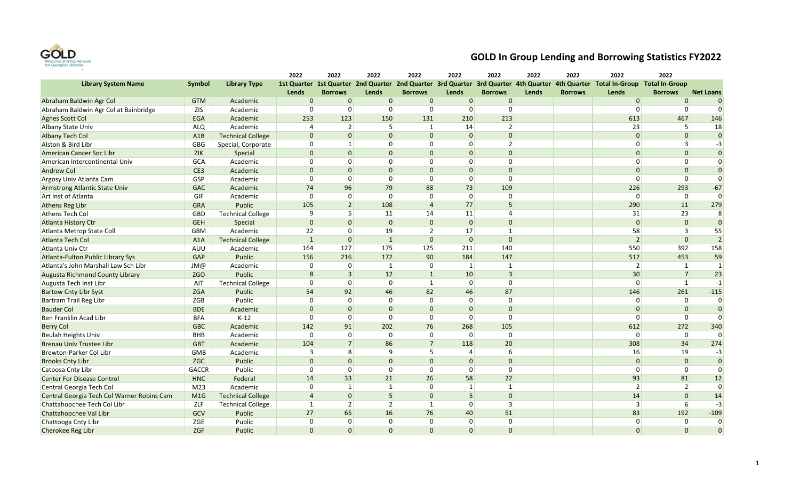

|                                            |                  |                          | 2022           | 2022           | 2022            | 2022            | 2022           | 2022           | 2022  | 2022           | 2022                                                                                                                          | 2022           |                  |
|--------------------------------------------|------------------|--------------------------|----------------|----------------|-----------------|-----------------|----------------|----------------|-------|----------------|-------------------------------------------------------------------------------------------------------------------------------|----------------|------------------|
| <b>Library System Name</b>                 | Symbol           | <b>Library Type</b>      |                |                |                 |                 |                |                |       |                | 1st Quarter 1st Quarter 2nd Quarter 2nd Quarter 3rd Quarter 3rd Quarter 4th Quarter 4th Quarter Total In-Group Total In-Group |                |                  |
|                                            |                  |                          | Lends          | <b>Borrows</b> | <b>Lends</b>    | <b>Borrows</b>  | Lends          | <b>Borrows</b> | Lends | <b>Borrows</b> | Lends                                                                                                                         | <b>Borrows</b> | <b>Net Loans</b> |
| Abraham Baldwin Agr Col                    | <b>GTM</b>       | Academic                 | $\Omega$       | $\overline{0}$ | 0               | $\overline{0}$  | $\mathbf 0$    | $\overline{0}$ |       |                | $\overline{0}$                                                                                                                | $\mathbf{0}$   | $\overline{0}$   |
| Abraham Baldwin Agr Col at Bainbridge      | <b>ZIS</b>       | Academic                 | $\Omega$       | $\Omega$       | $\overline{0}$  | $\Omega$        | $\mathbf 0$    | $\Omega$       |       |                | $\Omega$                                                                                                                      | $\Omega$       | $\Omega$         |
| Agnes Scott Col                            | <b>EGA</b>       | Academic                 | 253            | 123            | 150             | 131             | 210            | 213            |       |                | 613                                                                                                                           | 467            | 146              |
| <b>Albany State Univ</b>                   | <b>ALQ</b>       | Academic                 | $\Delta$       | $\overline{2}$ | 5               | $\vert$ 1       | 14             | $\overline{2}$ |       |                | 23                                                                                                                            | 5              | 18               |
| <b>Albany Tech Col</b>                     | A1B              | <b>Technical College</b> | $\Omega$       | $\overline{0}$ | $\overline{0}$  | $\overline{0}$  | $\Omega$       | $\overline{0}$ |       |                | $\mathbf{0}$                                                                                                                  | $\mathbf{0}$   | $\overline{0}$   |
| Alston & Bird Libr                         | GBG              | Special, Corporate       | $\Omega$       | 1              | 0               | $\Omega$        | $\Omega$       | $\overline{2}$ |       |                | $\Omega$                                                                                                                      | $\vert$ 3      | $-3$             |
| American Cancer Soc Libr                   | <b>ZIK</b>       | Special                  | $\Omega$       | $\overline{0}$ | $\overline{0}$  | $\Omega$        | $\Omega$       | $\Omega$       |       |                | $\Omega$                                                                                                                      | $\Omega$       | $\overline{0}$   |
| American Intercontinental Univ             | <b>GCA</b>       | Academic                 | $\Omega$       | 0              | 0               | $\Omega$        | $\Omega$       | $\overline{0}$ |       |                | $\Omega$                                                                                                                      | $\Omega$       | $\overline{0}$   |
| <b>Andrew Col</b>                          | CE3              | Academic                 | $\Omega$       | $\overline{0}$ | $\overline{0}$  | $\Omega$        | $\Omega$       | $\Omega$       |       |                | $\Omega$                                                                                                                      | $\Omega$       | $\overline{0}$   |
| Argosy Univ Atlanta Cam                    | GSP              | Academic                 | $\Omega$       | $\overline{0}$ | 0               | 0               | $\overline{0}$ | $\overline{0}$ |       |                | $\mathbf 0$                                                                                                                   | $\overline{0}$ | $\Omega$         |
| Armstrong Atlantic State Univ              | <b>GAC</b>       | Academic                 | 74             | 96             | 79              | 88              | 73             | 109            |       |                | 226                                                                                                                           | 293            | $-67$            |
| Art Inst of Atlanta                        | GIF              | Academic                 | $\Omega$       | $\overline{0}$ | $\overline{0}$  | $\Omega$        | $\mathbf 0$    | $\overline{0}$ |       |                | $\mathbf 0$                                                                                                                   | $\overline{0}$ | $\overline{0}$   |
| Athens Reg Libr                            | <b>GRA</b>       | Public                   | 105            | $\overline{2}$ | 108             | $\Delta$        | 77             | 5              |       |                | 290                                                                                                                           | 11             | 279              |
| <b>Athens Tech Col</b>                     | GBD              | <b>Technical College</b> | 9              | 5 <sup>1</sup> | 11              | 14              | 11             | 4              |       |                | 31                                                                                                                            | 23             | $8 \mid$         |
| <b>Atlanta History Ctr</b>                 | <b>GEH</b>       | Special                  | $\mathbf{0}$   | $\overline{0}$ | $\overline{0}$  | $\overline{0}$  | $\mathbf{0}$   | $\overline{0}$ |       |                | $\mathbf{0}$                                                                                                                  | $\overline{0}$ | $\overline{0}$   |
| Atlanta Metrop State Coll                  | <b>GBM</b>       | Academic                 | 22             | $\Omega$       | 19              | $\overline{2}$  | 17             | $\mathbf{1}$   |       |                | 58                                                                                                                            | $\vert$ 3      | 55               |
| Atlanta Tech Col                           | A <sub>1</sub> A | <b>Technical College</b> | $\overline{1}$ | $\overline{0}$ | $\mathbf{1}$    | $\overline{0}$  | $\Omega$       | $\overline{0}$ |       |                | $\overline{2}$                                                                                                                | $\mathbf{0}$   | $\vert$ 2        |
| Atlanta Univ Ctr                           | AUU              | Academic                 | 164            | 127            | 175             | 125             | 211            | 140            |       |                | 550                                                                                                                           | 392            | 158              |
| Atlanta-Fulton Public Library Sys          | GAP              | Public                   | 156            | 216            | 172             | 90              | 184            | 147            |       |                | 512                                                                                                                           | 453            | 59               |
| Atlanta's John Marshall Law Sch Libr       | JM@              | Academic                 | $\Omega$       | $\overline{0}$ | $\vert$ 1       | 0               | $\vert$ 1      | 1              |       |                | $\overline{2}$                                                                                                                | $\vert$ 1      | $\mathbf{1}$     |
| <b>Augusta Richmond County Library</b>     | ZGO              | Public                   | 8              | $\overline{3}$ | 12              | $1\overline{ }$ | 10             | $\overline{3}$ |       |                | 30                                                                                                                            | $\overline{7}$ | 23               |
| Augusta Tech Inst Libr                     | AIT              | <b>Technical College</b> | $\Omega$       | $\overline{0}$ | 0               | $1\vert$        | $\Omega$       | $\Omega$       |       |                | $\Omega$                                                                                                                      | $\mathbf{1}$   | $-1$             |
| <b>Bartow Cnty Libr Syst</b>               | <b>ZGA</b>       | Public                   | 54             | 92             | 46              | 82              | 46             | 87             |       |                | 146                                                                                                                           | 261            | $-115$           |
| Bartram Trail Reg Libr                     | ZGB              | Public                   | $\Omega$       | $\overline{0}$ | 0               | 0               | $\mathbf 0$    | $\overline{0}$ |       |                | $\mathbf 0$                                                                                                                   | $\overline{0}$ | $\overline{0}$   |
| <b>Bauder Col</b>                          | <b>BDE</b>       | Academic                 | $\Omega$       | $\Omega$       | $\overline{0}$  | $\overline{0}$  | $\Omega$       | $\Omega$       |       |                | $\Omega$                                                                                                                      | $\Omega$       | $\Omega$         |
| Ben Franklin Acad Libr                     | <b>BFA</b>       | $K-12$                   | $\Omega$       | $\overline{0}$ | $\overline{0}$  | $\overline{0}$  | $\Omega$       | $\overline{0}$ |       |                | $\Omega$                                                                                                                      | $\mathbf 0$    | $\overline{0}$   |
| <b>Berry Col</b>                           | <b>GBC</b>       | Academic                 | 142            | 91             | 202             | 76              | 268            | 105            |       |                | 612                                                                                                                           | 272            | 340              |
| <b>Beulah Heights Univ</b>                 | BHB              | Academic                 | 0              | $\overline{0}$ | $\overline{0}$  | $\overline{0}$  | $\mathbf 0$    | $\overline{0}$ |       |                | $\mathbf 0$                                                                                                                   | $\overline{0}$ | $\Omega$         |
| <b>Brenau Univ Trustee Libr</b>            | <b>GBT</b>       | Academic                 | 104            | 7              | 86              | $\overline{7}$  | 118            | 20             |       |                | 308                                                                                                                           | 34             | 274              |
| Brewton-Parker Col Libr                    | GMB              | Academic                 | 3              | 8 <sup>1</sup> | $\vert 9 \vert$ | 5               | $\Delta$       | 6              |       |                | 16                                                                                                                            | 19             | $-3$             |
| <b>Brooks Cnty Libr</b>                    | ZGC              | Public                   | $\Omega$       | $\overline{0}$ | $\overline{0}$  | $\overline{0}$  | $\Omega$       | $\overline{0}$ |       |                | $\mathbf{0}$                                                                                                                  | $\overline{0}$ | $\overline{0}$   |
| Catoosa Cnty Libr                          | <b>GACCR</b>     | Public                   | $\Omega$       | $\Omega$       | 0               | $\Omega$        | $\Omega$       | $\Omega$       |       |                | $\Omega$                                                                                                                      | $\Omega$       | $\Omega$         |
| <b>Center For Disease Control</b>          | <b>HNC</b>       | Federal                  | 14             | 33             | 21              | 26              | 58             | 22             |       |                | 93                                                                                                                            | 81             | 12               |
| Central Georgia Tech Col                   | M <sub>23</sub>  | Academic                 | $\Omega$       | $\vert$ 1      | 1               | $\Omega$        | $\vert$ 1      | $\mathbf{1}$   |       |                | $\overline{2}$                                                                                                                | $\overline{2}$ | $\overline{0}$   |
| Central Georgia Tech Col Warner Robins Cam | M1G              | <b>Technical College</b> | $\overline{4}$ | $\overline{0}$ | 5 <sup>1</sup>  | $\overline{0}$  | 5              | $\overline{0}$ |       |                | 14                                                                                                                            | $\Omega$       | 14               |
| Chattahoochee Tech Col Libr                | ZLF              | <b>Technical College</b> | $\mathbf{1}$   | $\overline{2}$ | 2               | $1\vert$        | $\Omega$       | $\overline{3}$ |       |                | $\overline{3}$                                                                                                                | 6              | $-3$             |
| Chattahoochee Val Libr                     | GCV              | Public                   | 27             | 65             | 16              | 76              | 40             | 51             |       |                | 83                                                                                                                            | 192            | $-109$           |
| Chattooga Cnty Libr                        | ZGE              | Public                   | $\Omega$       | $\overline{0}$ | $\overline{0}$  | $\Omega$        | $\mathbf 0$    | $\overline{0}$ |       |                | $\mathbf 0$                                                                                                                   | 0              | $\Omega$         |
| Cherokee Reg Libr                          | <b>ZGF</b>       | Public                   | $\Omega$       | $\Omega$       | $\Omega$        | $\Omega$        | $\Omega$       | $\Omega$       |       |                | $\Omega$                                                                                                                      | $\Omega$       | $\Omega$         |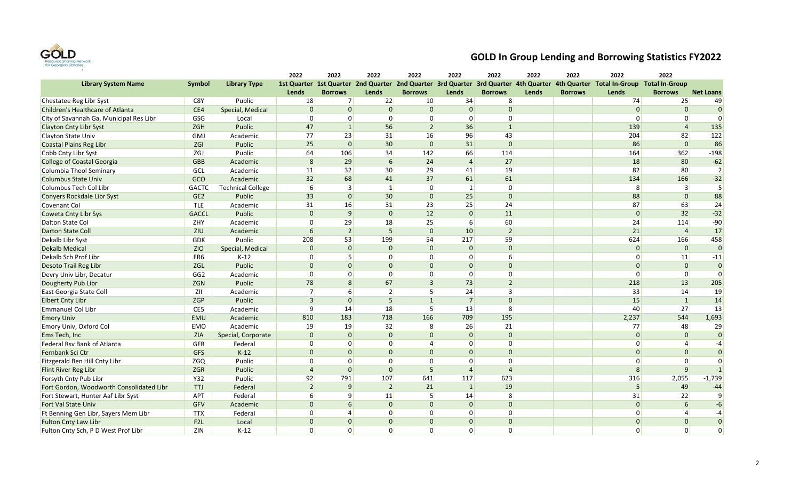

|                                          |                 |                          | 2022           | 2022           | 2022             | 2022           | 2022             | 2022           | 2022  | 2022           | 2022                                                                                                                          | 2022             |                  |
|------------------------------------------|-----------------|--------------------------|----------------|----------------|------------------|----------------|------------------|----------------|-------|----------------|-------------------------------------------------------------------------------------------------------------------------------|------------------|------------------|
| <b>Library System Name</b>               | <b>Symbol</b>   | <b>Library Type</b>      |                |                |                  |                |                  |                |       |                | 1st Quarter 1st Quarter 2nd Quarter 2nd Quarter 3rd Quarter 3rd Quarter 4th Quarter 4th Quarter Total In-Group Total In-Group |                  |                  |
|                                          |                 |                          | Lends          | <b>Borrows</b> | <b>Lends</b>     | <b>Borrows</b> | Lends            | <b>Borrows</b> | Lends | <b>Borrows</b> | Lends                                                                                                                         | <b>Borrows</b>   | <b>Net Loans</b> |
| Chestatee Reg Libr Syst                  | C8Y             | Public                   | 18             | 7 <sup>1</sup> | 22               | 10             | 34               | 8              |       |                | 74                                                                                                                            | 25               | 49               |
| Children's Healthcare of Atlanta         | CE4             | Special, Medical         | $\Omega$       | $\overline{0}$ | $\overline{0}$   | $\overline{0}$ | $\Omega$         | $\overline{0}$ |       |                | $\overline{0}$                                                                                                                | $\mathbf{0}$     | $\Omega$         |
| City of Savannah Ga, Municipal Res Libr  | GSG             | Local                    | $\Omega$       | $\overline{0}$ | $\overline{0}$   | $\Omega$       | $\Omega$         | $\Omega$       |       |                | $\Omega$                                                                                                                      | $\Omega$         | $\Omega$         |
| <b>Clayton Cnty Libr Syst</b>            | <b>ZGH</b>      | Public                   | 47             | 1              | 56               | $\overline{2}$ | 36               | $\mathbf{1}$   |       |                | 139                                                                                                                           | $\overline{4}$   | 135              |
| Clayton State Univ                       | GMJ             | Academic                 | 77             | 23             | 31               | 16             | 96               | 43             |       |                | 204                                                                                                                           | 82               | 122              |
| Coastal Plains Reg Libr                  | ZGI             | Public                   | 25             | $\overline{0}$ | 30 <sup>°</sup>  | $\overline{0}$ | 31               | $\Omega$       |       |                | 86                                                                                                                            | $\overline{0}$   | 86               |
| Cobb Cnty Libr Syst                      | ZGJ             | Public                   | 64             | 106            | 34               | 142            | 66               | 114            |       |                | 164                                                                                                                           | 362              | $-198$           |
| <b>College of Coastal Georgia</b>        | <b>GBB</b>      | Academic                 | 8              | 29             | $6 \overline{6}$ | 24             | $\overline{4}$   | 27             |       |                | 18                                                                                                                            | 80               | $-62$            |
| Columbia Theol Seminary                  | GCL             | Academic                 | 11             | 32             | 30               | 29             | 41               | 19             |       |                | 82                                                                                                                            | 80               | $\overline{2}$   |
| <b>Columbus State Univ</b>               | GCO             | Academic                 | 32             | 68             | 41               | 37             | 61               | 61             |       |                | 134                                                                                                                           | 166              | $-32$            |
| Columbus Tech Col Libr                   | <b>GACTC</b>    | <b>Technical College</b> | 6              | 3              | $\vert$ 1        | 0              | $\vert$ 1        | $\overline{0}$ |       |                | 8                                                                                                                             | $\vert$ 3        | 5                |
| Conyers Rockdale Libr Syst               | GE <sub>2</sub> | Public                   | 33             | $\overline{0}$ | 30               | $\overline{0}$ | 25               | $\Omega$       |       |                | 88                                                                                                                            | $\overline{0}$   | 88               |
| <b>Covenant Col</b>                      | TLE             | Academic                 | 31             | 16             | 31               | 23             | 25               | 24             |       |                | 87                                                                                                                            | 63               | 24               |
| <b>Coweta Cnty Libr Sys</b>              | <b>GACCL</b>    | Public                   | $\Omega$       | $\overline{9}$ | $\overline{0}$   | 12             | $\Omega$         | 11             |       |                | $\Omega$                                                                                                                      | 32               | $-32$            |
| Dalton State Col                         | ZHY             | Academic                 | $\Omega$       | 29             | 18               | 25             | $6 \overline{6}$ | 60             |       |                | 24                                                                                                                            | 114              | $-90$            |
| <b>Darton State Coll</b>                 | ZIU             | Academic                 | 6              | $\overline{2}$ | 5 <sup>1</sup>   | $\Omega$       | 10               | $\overline{2}$ |       |                | 21                                                                                                                            | $\overline{4}$   | 17               |
| Dekalb Libr Syst                         | <b>GDK</b>      | Public                   | 208            | 53             | 199              | 54             | 217              | 59             |       |                | 624                                                                                                                           | 166              | 458              |
| <b>Dekalb Medical</b>                    | <b>ZIO</b>      | Special, Medical         | $\Omega$       | $\overline{0}$ | $\overline{0}$   | $\Omega$       | $\Omega$         | $\Omega$       |       |                | $\Omega$                                                                                                                      | $\overline{0}$   | $\overline{0}$   |
| Dekalb Sch Prof Libr                     | FR6             | $K-12$                   | $\Omega$       | 5 <sup>1</sup> | $\overline{0}$   | $\overline{0}$ | $\Omega$         | $6 \mid$       |       |                | $\mathbf 0$                                                                                                                   | 11               | $-11$            |
| Desoto Trail Reg Libr                    | ZGL             | Public                   | $\Omega$       | $\Omega$       | $\overline{0}$   | $\Omega$       | $\Omega$         | $\overline{0}$ |       |                | $\Omega$                                                                                                                      | $\overline{0}$   | $\overline{0}$   |
| Devry Univ Libr, Decatur                 | GG <sub>2</sub> | Academic                 | $\Omega$       | $\overline{0}$ | $\overline{0}$   | $\Omega$       | $\Omega$         | 0              |       |                | $\Omega$                                                                                                                      | $\mathbf 0$      | $\overline{0}$   |
| Dougherty Pub Libr                       | <b>ZGN</b>      | Public                   | 78             | 8 <sup>1</sup> | 67               | $\overline{3}$ | 73               | $\overline{2}$ |       |                | 218                                                                                                                           | 13               | 205              |
| East Georgia State Coll                  | ZII             | Academic                 | $\overline{7}$ | $6 \mid$       | $\overline{2}$   | 5.             | 24               | $\overline{3}$ |       |                | 33                                                                                                                            | 14               | 19               |
| <b>Elbert Cnty Libr</b>                  | ZGP             | Public                   | 3              | $\overline{0}$ | 5 <sup>2</sup>   | $\mathbf{1}$   | $\overline{7}$   | $\overline{0}$ |       |                | 15                                                                                                                            | $\mathbf{1}$     | 14               |
| Emmanuel Col Libr                        | CE5             | Academic                 | 9              | 14             | 18               | 5 <sup>1</sup> | 13               | 8              |       |                | 40                                                                                                                            | 27               | 13               |
| <b>Emory Univ</b>                        | EMU             | Academic                 | 810            | 183            | 718              | 166            | 709              | 195            |       |                | 2,237                                                                                                                         | 544              | 1,693            |
| Emory Univ, Oxford Col                   | EMO             | Academic                 | 19             | 19             | 32               | 8              | 26               | 21             |       |                | 77                                                                                                                            | 48               | 29               |
| Ems Tech, Inc                            | ZIA             | Special, Corporate       | $\Omega$       | $\overline{0}$ | 0                | $\Omega$       | $\Omega$         | $\overline{0}$ |       |                | $\mathbf{0}$                                                                                                                  | $\overline{0}$   | $\overline{0}$   |
| Federal Rsv Bank of Atlanta              | <b>GFR</b>      | Federal                  | $\overline{0}$ | $\overline{0}$ | 0                | $\overline{4}$ | $\overline{0}$   | $\overline{0}$ |       |                | $\mathbf 0$                                                                                                                   | $\overline{4}$   | $-4$             |
| Fernbank Sci Ctr                         | GFS             | $K-12$                   | $\Omega$       | $\overline{0}$ | $\overline{0}$   | $\Omega$       | $\Omega$         | $\overline{0}$ |       |                | $\Omega$                                                                                                                      | $\mathbf{0}$     | $\overline{0}$   |
| Fitzgerald Ben Hill Cnty Libr            | ZGQ             | Public                   | $\Omega$       | $\overline{0}$ | $\overline{0}$   | $\Omega$       | $\Omega$         | $\overline{0}$ |       |                | $\Omega$                                                                                                                      | $\Omega$         | $\overline{0}$   |
| Flint River Reg Libr                     | <b>ZGR</b>      | Public                   | $\Delta$       | $\overline{0}$ | $\overline{0}$   | 5              | $\overline{4}$   | $\Delta$       |       |                | 8                                                                                                                             | 9                | $-1$             |
| Forsyth Cnty Pub Libr                    | <b>Y32</b>      | Public                   | 92             | 791            | 107              | 641            | 117              | 623            |       |                | 316                                                                                                                           | 2,055            | $-1,739$         |
| Fort Gordon, Woodworth Consolidated Libr | TTJ             | Federal                  | $\overline{2}$ | 9 <sup>1</sup> | $\vert$ 2        | 21             | $\vert$ 1        | 19             |       |                | 5                                                                                                                             | 49               | $-44$            |
| Fort Stewart, Hunter Aaf Libr Syst       | APT             | Federal                  | 6              | 9              | 11               | 5 <sup>1</sup> | 14               | 8              |       |                | 31                                                                                                                            | 22               | $\overline{9}$   |
| Fort Val State Univ                      | GFV             | Academic                 | $\Omega$       | 6              | 0                | $\overline{0}$ | $\Omega$         | $\overline{0}$ |       |                | $\overline{0}$                                                                                                                | $6 \overline{6}$ | $-6$             |
| Ft Benning Gen Libr, Sayers Mem Libr     | <b>TTX</b>      | Federal                  | $\Omega$       | $\vert$        | 0                | $\Omega$       | $\Omega$         | $\Omega$       |       |                | $\Omega$                                                                                                                      | $\overline{4}$   | $-4$             |
| <b>Fulton Cnty Law Libr</b>              | F <sub>2L</sub> | Local                    | $\Omega$       | $\Omega$       | $\mathbf{0}$     | $\Omega$       | $\Omega$         | $\overline{0}$ |       |                | $\Omega$                                                                                                                      | $\Omega$         | $\overline{0}$   |
| Fulton Cnty Sch, P D West Prof Libr      | ZIN             | $K-12$                   | $\Omega$       | $\Omega$       | $\Omega$         | $\Omega$       | $\Omega$         | $\Omega$       |       |                | $\Omega$                                                                                                                      | $\Omega$         | $\Omega$         |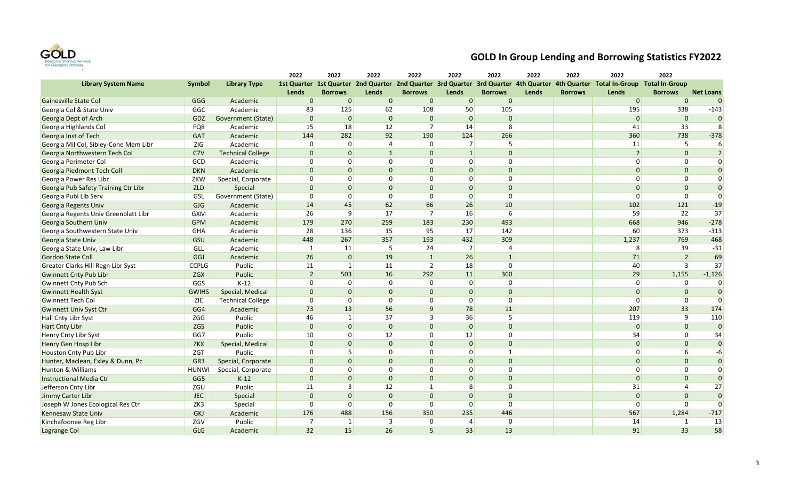

|                                       |                 |                          | 2022           | 2022            | 2022           | 2022                                                                                | 2022           | 2022             | 2022  | 2022           | 2022                                      | 2022           |                  |
|---------------------------------------|-----------------|--------------------------|----------------|-----------------|----------------|-------------------------------------------------------------------------------------|----------------|------------------|-------|----------------|-------------------------------------------|----------------|------------------|
| <b>Library System Name</b>            | <b>Symbol</b>   | <b>Library Type</b>      |                |                 |                | 1st Quarter 1st Quarter 2nd Quarter 2nd Quarter 3rd Quarter 3rd Quarter 4th Quarter |                |                  |       |                | 4th Quarter Total In-Group Total In-Group |                |                  |
|                                       |                 |                          | Lends          | <b>Borrows</b>  | <b>Lends</b>   | <b>Borrows</b>                                                                      | Lends          | <b>Borrows</b>   | Lends | <b>Borrows</b> | Lends                                     | <b>Borrows</b> | <b>Net Loans</b> |
| <b>Gainesville State Col</b>          | GGG             | Academic                 | $\mathbf{0}$   | $\overline{0}$  | 0              | $\overline{0}$                                                                      | 0              | $\overline{0}$   |       |                | 0                                         | $\mathbf{0}$   | $\overline{0}$   |
| Georgia Col & State Univ              | GGC             | Academic                 | 83             | 125             | 62             | 108                                                                                 | 50             | 105              |       |                | 195                                       | 338            | $-143$           |
| Georgia Dept of Arch                  | GDZ             | Government (State)       | $\Omega$       | $\overline{0}$  | $\overline{0}$ | $\overline{0}$                                                                      | $\Omega$       | $\overline{0}$   |       |                | $\overline{0}$                            | $\overline{0}$ | $\overline{0}$   |
| Georgia Highlands Col                 | FQ8             | Academic                 | 15             | 18              | 12             | 7                                                                                   | 14             | 8                |       |                | 41                                        | 33             | 8                |
| Georgia Inst of Tech                  | <b>GAT</b>      | Academic                 | 144            | 282             | 92             | 190                                                                                 | 124            | 266              |       |                | 360                                       | 738            | $-378$           |
| Georgia Mil Col, Sibley-Cone Mem Libr | ZIG             | Academic                 | 0              | $\overline{0}$  | $\vert$        | 0                                                                                   | 7 <sup>1</sup> | 5                |       |                | 11                                        | 5 <sup>1</sup> | $6 \mid$         |
| Georgia Northwestern Tech Col         | C7V             | <b>Technical College</b> | $\Omega$       | $\overline{0}$  | $\vert$ 1      | $\overline{0}$                                                                      | $\vert$ 1      | $\overline{0}$   |       |                | $\overline{2}$                            | $\mathbf{0}$   | $\overline{2}$   |
| Georgia Perimeter Col                 | GCD             | Academic                 | $\Omega$       | $\overline{0}$  | $\overline{0}$ | $\Omega$                                                                            | $\Omega$       | $\Omega$         |       |                | $\Omega$                                  | $\Omega$       | $\overline{0}$   |
| Georgia Piedmont Tech Coll            | <b>DKN</b>      | Academic                 | $\Omega$       | $\overline{0}$  | $\overline{0}$ | $\Omega$                                                                            | $\Omega$       | $\Omega$         |       |                | $\Omega$                                  | $\Omega$       | $\overline{0}$   |
| Georgia Power Res Libr                | ZKW             | Special, Corporate       | $\Omega$       | $\overline{0}$  | $\overline{0}$ | $\Omega$                                                                            | $\overline{0}$ | $\overline{0}$   |       |                | $\Omega$                                  | $\Omega$       | $\Omega$         |
| Georgia Pub Safety Training Ctr Libr  | <b>ZLD</b>      | Special                  | $\Omega$       | $\Omega$        | $\overline{0}$ | $\Omega$                                                                            | $\Omega$       | $\Omega$         |       |                | $\Omega$                                  | $\Omega$       | $\Omega$         |
| Georgia Publ Lib Serv                 | GSL             | Government (State)       | $\mathbf 0$    | $\overline{0}$  | $\overline{0}$ | 0                                                                                   | $\overline{0}$ | $\overline{0}$   |       |                | $\Omega$                                  | $\mathbf 0$    | $\overline{0}$   |
| Georgia Regents Univ                  | <b>GJG</b>      | Academic                 | 14             | 45              | 62             | 66                                                                                  | 26             | 10               |       |                | 102                                       | 121            | $-19$            |
| Georgia Regents Univ Greenblatt Libr  | <b>GXM</b>      | Academic                 | 26             | $\overline{9}$  | 17             | 7                                                                                   | 16             | $6 \overline{6}$ |       |                | 59                                        | 22             | 37               |
| Georgia Southern Univ                 | <b>GPM</b>      | Academic                 | 179            | 270             | 259            | 183                                                                                 | 230            | 493              |       |                | 668                                       | 946            | $-278$           |
| Georgia Southwestern State Univ       | GHA             | Academic                 | 28             | 136             | 15             | 95                                                                                  | 17             | 142              |       |                | 60                                        | 373            | $-313$           |
| Georgia State Univ                    | GSU             | Academic                 | 448            | 267             | 357            | 193                                                                                 | 432            | 309              |       |                | 1,237                                     | 769            | 468              |
| Georgia State Univ, Law Libr          | GLL             | Academic                 | 1              | 11              | 5 <sup>1</sup> | 24                                                                                  | $\overline{2}$ | 4                |       |                | 8                                         | 39             | $-31$            |
| <b>Gordon State Coll</b>              | GGJ             | Academic                 | 26             | $\overline{0}$  | 19             | $\mathbf{1}$                                                                        | 26             | $\mathbf{1}$     |       |                | 71                                        | $\overline{2}$ | 69               |
| Greater Clarks Hill Regn Libr Syst    | <b>CCPLG</b>    | Public                   | 11             | $\vert$ 1       | 11             | $\overline{2}$                                                                      | 18             | $\overline{0}$   |       |                | 40                                        | $\vert$ 3      | 37               |
| <b>Gwinnett Cnty Pub Libr</b>         | ZGX             | Public                   | $\overline{2}$ | 503             | 16             | 292                                                                                 | 11             | 360              |       |                | 29                                        | 1,155          | $-1,126$         |
| Gwinnett Cnty Pub Sch                 | GGS             | $K-12$                   | $\Omega$       | $\overline{0}$  | $\overline{0}$ | $\Omega$                                                                            | $\Omega$       | $\overline{0}$   |       |                | $\Omega$                                  | $\overline{0}$ | $\overline{0}$   |
| <b>Gwinnett Health Syst</b>           | <b>GWIHS</b>    | Special, Medical         | $\Omega$       | $\Omega$        | $\overline{0}$ | $\Omega$                                                                            | $\Omega$       | $\Omega$         |       |                | $\Omega$                                  | $\Omega$       | $\Omega$         |
| <b>Gwinnett Tech Col</b>              | ZIE             | <b>Technical College</b> | $\mathbf 0$    | $\overline{0}$  | $\overline{0}$ | $\overline{0}$                                                                      | $\overline{0}$ | $\overline{0}$   |       |                | $\Omega$                                  | $\overline{0}$ | $\Omega$         |
| <b>Gwinnett Univ Syst Ctr</b>         | GG4             | Academic                 | 73             | 13              | 56             | 9 <sup>1</sup>                                                                      | 78             | 11               |       |                | 207                                       | 33             | 174              |
| <b>Hall Cnty Libr Syst</b>            | ZGG             | Public                   | 46             | $1\overline{ }$ | 37             | 3                                                                                   | 36             | 5                |       |                | 119                                       | $\overline{9}$ | 110              |
| <b>Hart Cnty Libr</b>                 | <b>ZGS</b>      | Public                   | $\Omega$       | $\overline{0}$  | $\overline{0}$ | $\Omega$                                                                            | $\overline{0}$ | $\Omega$         |       |                | $\Omega$                                  | $\overline{0}$ | $\overline{0}$   |
| Henry Cnty Libr Syst                  | GG7             | Public                   | 10             | $\overline{0}$  | 12             | $\Omega$                                                                            | 12             | $\Omega$         |       |                | 34                                        | $\Omega$       | 34               |
| Henry Gen Hosp Libr                   | ZKX             | Special, Medical         | $\Omega$       | $\overline{0}$  | 0              | $\Omega$                                                                            | $\Omega$       | $\overline{0}$   |       |                | $\mathbf{0}$                              | $\overline{0}$ | $\overline{0}$   |
| Houston Cnty Pub Libr                 | <b>ZGT</b>      | Public                   | $\Omega$       | 5               | $\overline{0}$ | $\Omega$                                                                            | $\Omega$       | $\mathbf{1}$     |       |                | $\Omega$                                  | 6              | $-6$             |
| Hunter, Maclean, Exley & Dunn, Pc     | GR <sub>3</sub> | Special, Corporate       | $\Omega$       | $\Omega$        | $\Omega$       | $\Omega$                                                                            | $\Omega$       | $\Omega$         |       |                | $\Omega$                                  | $\Omega$       | $\overline{0}$   |
| <b>Hunton &amp; Williams</b>          | <b>HUNWI</b>    | Special, Corporate       | $\Omega$       | $\Omega$        | $\overline{0}$ | $\Omega$                                                                            | $\Omega$       | $\Omega$         |       |                | $\Omega$                                  | $\Omega$       | $\Omega$         |
| <b>Instructional Media Ctr</b>        | GG5             | $K-12$                   | $\mathbf{0}$   | $\overline{0}$  | $\overline{0}$ | $\overline{0}$                                                                      | $\Omega$       | $\overline{0}$   |       |                | $\mathbf{0}$                              | $\mathbf{0}$   | $\overline{0}$   |
| Jefferson Cnty Libr                   | ZGU             | Public                   | 11             | $\overline{3}$  | 12             | $1\vert$                                                                            | 8              | $\Omega$         |       |                | 31                                        | $\overline{4}$ | 27               |
| Jimmy Carter Libr                     | <b>JEC</b>      | Special                  | $\Omega$       | $\overline{0}$  | $\overline{0}$ | $\overline{0}$                                                                      | $\Omega$       | $\overline{0}$   |       |                | $\mathbf{0}$                              | $\Omega$       | $\overline{0}$   |
| Joseph W Jones Ecological Res Ctr     | ZK3             | Special                  | $\Omega$       | $\Omega$        | $\Omega$       | $\overline{0}$                                                                      | $\Omega$       | $\Omega$         |       |                | $\Omega$                                  | $\Omega$       | $\Omega$         |
| <b>Kennesaw State Univ</b>            | <b>GKJ</b>      | Academic                 | 176            | 488             | 156            | 350                                                                                 | 235            | 446              |       |                | 567                                       | 1,284          | $-717$           |
| Kinchafoonee Reg Libr                 | ZGV             | Public                   | $\overline{7}$ | $\mathbf{1}$    | $\vert$ 3      | $\overline{0}$                                                                      | $\vert$        | $\overline{0}$   |       |                | 14                                        | $\vert$ 1      | 13               |
| Lagrange Col                          | <b>GLG</b>      | Academic                 | 32             | 15              | 26             | 5                                                                                   | 33             | 13               |       |                | 91                                        | 33             | 58               |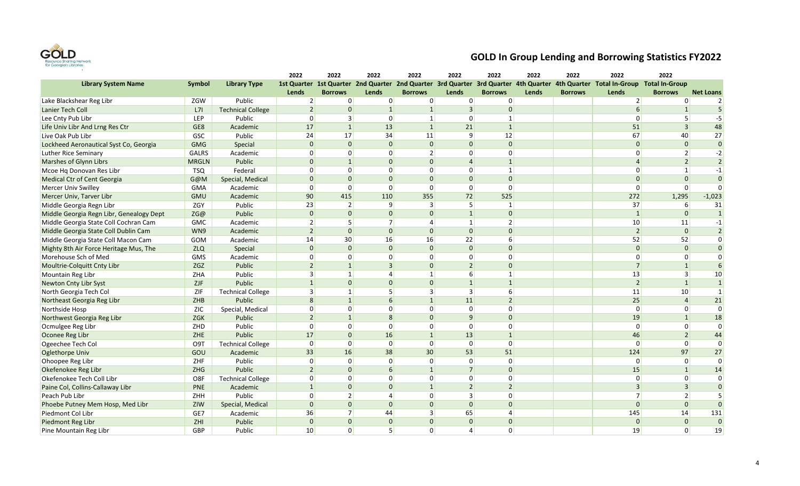

|                                          |                  |                          | 2022                     | 2022           | 2022           | 2022           | 2022                     | 2022           | 2022  | 2022           | 2022                                                                                                                          | 2022             |                  |
|------------------------------------------|------------------|--------------------------|--------------------------|----------------|----------------|----------------|--------------------------|----------------|-------|----------------|-------------------------------------------------------------------------------------------------------------------------------|------------------|------------------|
| <b>Library System Name</b>               | <b>Symbol</b>    | <b>Library Type</b>      |                          |                |                |                |                          |                |       |                | 1st Quarter 1st Quarter 2nd Quarter 2nd Quarter 3rd Quarter 3rd Quarter 4th Quarter 4th Quarter Total In-Group Total In-Group |                  |                  |
|                                          |                  |                          | Lends                    | <b>Borrows</b> | <b>Lends</b>   | <b>Borrows</b> | Lends                    | <b>Borrows</b> | Lends | <b>Borrows</b> | Lends                                                                                                                         | <b>Borrows</b>   | <b>Net Loans</b> |
| Lake Blackshear Reg Libr                 | ZGW              | Public                   | $\overline{2}$           | $\overline{0}$ | 0              | 0              | 0                        | $\overline{0}$ |       |                | $\overline{2}$                                                                                                                | $\Omega$         | $\overline{2}$   |
| Lanier Tech Coll                         | L7I              | <b>Technical College</b> | $\overline{\phantom{0}}$ | $\overline{0}$ | $\mathbf{1}$   | $\vert$ 1      | $\overline{3}$           | $\overline{0}$ |       |                | 6                                                                                                                             | $\mathbf{1}$     | 5 <sup>1</sup>   |
| Lee Cnty Pub Libr                        | LEP              | Public                   | $\Omega$                 | 3              | $\overline{0}$ | $1\vert$       | $\Omega$                 | $\mathbf{1}$   |       |                | $\Omega$                                                                                                                      | 5                | $-5$             |
| Life Univ Libr And Lrng Res Ctr          | GE8              | Academic                 | 17                       | 1              | 13             | $\mathbf{1}$   | 21                       | $\mathbf{1}$   |       |                | 51                                                                                                                            | $\overline{3}$   | 48               |
| Live Oak Pub Libr                        | GSC              | Public                   | 24                       | 17             | 34             | 11             | 9                        | 12             |       |                | 67                                                                                                                            | 40               | 27               |
| Lockheed Aeronautical Syst Co, Georgia   | <b>GMG</b>       | Special                  | $\Omega$                 | $\Omega$       | $\overline{0}$ | $\overline{0}$ | $\Omega$                 | $\overline{0}$ |       |                | $\mathbf{0}$                                                                                                                  | $\mathbf{0}$     | $\overline{0}$   |
| <b>Luther Rice Seminary</b>              | <b>GALRS</b>     | Academic                 | $\Omega$                 | $\overline{0}$ | $\overline{0}$ | $\overline{2}$ | $\Omega$                 | $\overline{0}$ |       |                | $\Omega$                                                                                                                      | $\overline{2}$   | $-2$             |
| Marshes of Glynn Librs                   | <b>MRGLN</b>     | Public                   | $\Omega$                 | $\mathbf{1}$   | $\overline{0}$ | $\Omega$       | $\Delta$                 | $\mathbf{1}$   |       |                |                                                                                                                               | $\overline{2}$   | $\overline{2}$   |
| Mcoe Hg Donovan Res Libr                 | <b>TSQ</b>       | Federal                  | $\Omega$                 | $\overline{0}$ | $\overline{0}$ | $\Omega$       | $\Omega$                 | $\mathbf{1}$   |       |                | $\Omega$                                                                                                                      | $\vert$ 1        | $-1$             |
| Medical Ctr of Cent Georgia              | G@M              | Special, Medical         | $\Omega$                 | $\overline{0}$ | $\overline{0}$ | $\Omega$       | $\Omega$                 | $\overline{0}$ |       |                | $\Omega$                                                                                                                      | $\mathbf{0}$     | $\overline{0}$   |
| Mercer Univ Swilley                      | GMA              | Academic                 | $\overline{0}$           | $\overline{0}$ | $\overline{0}$ | $\overline{0}$ | $\overline{0}$           | $\overline{0}$ |       |                | $\mathbf 0$                                                                                                                   | $\overline{0}$   | $\overline{0}$   |
| Mercer Univ, Tarver Libr                 | <b>GMU</b>       | Academic                 | 90                       | 415            | 110            | 355            | 72                       | 525            |       |                | 272                                                                                                                           | 1,295            | $-1,023$         |
| Middle Georgia Regn Libr                 | ZGY              | Public                   | 23                       | $\overline{2}$ | 9              | 3              | 5                        | $\mathbf{1}$   |       |                | 37                                                                                                                            | $6 \overline{6}$ | 31               |
| Middle Georgia Regn Libr, Genealogy Dept | ZG@              | Public                   | $\Omega$                 | $\overline{0}$ | $\overline{0}$ | $\Omega$       | $\overline{1}$           | $\Omega$       |       |                | $\mathbf{1}$                                                                                                                  | $\Omega$         | $\vert$ 1        |
| Middle Georgia State Coll Cochran Cam    | <b>GMC</b>       | Academic                 | $\overline{2}$           | 5 <sup>1</sup> | 7              | $\overline{4}$ | $\mathbf{1}$             | $\overline{2}$ |       |                | $10\,$                                                                                                                        | 11               | $-1$             |
| Middle Georgia State Coll Dublin Cam     | WN9              | Academic                 | $\overline{\phantom{0}}$ | $\Omega$       | $\Omega$       | $\overline{0}$ | $\Omega$                 | $\Omega$       |       |                | $\overline{2}$                                                                                                                | $\overline{0}$   | $\overline{2}$   |
| Middle Georgia State Coll Macon Cam      | GOM              | Academic                 | 14                       | 30             | 16             | 16             | 22                       | 6              |       |                | 52                                                                                                                            | 52               | $\overline{0}$   |
| Mighty 8th Air Force Heritage Mus, The   | <b>ZLQ</b>       | Special                  | $\Omega$                 | $\Omega$       | $\overline{0}$ | $\Omega$       | $\Omega$                 | $\Omega$       |       |                | $\Omega$                                                                                                                      | $\Omega$         | $\overline{0}$   |
| Morehouse Sch of Med                     | <b>GMS</b>       | Academic                 | $\Omega$                 | $\overline{0}$ | $\overline{0}$ | $\Omega$       | $\Omega$                 | $\overline{0}$ |       |                | $\Omega$                                                                                                                      | $\Omega$         | $\overline{0}$   |
| Moultrie-Colquitt Cnty Libr              | ZGZ              | Public                   | $\overline{\phantom{0}}$ | $\mathbf{1}$   | $\overline{3}$ | $\Omega$       | $\overline{\phantom{0}}$ | $\overline{0}$ |       |                | $\overline{7}$                                                                                                                | $\overline{1}$   | $6 \overline{6}$ |
| <b>Mountain Reg Libr</b>                 | ZHA              | Public                   | 3                        | 1              | 4              | $\mathbf{1}$   | 6                        | $\mathbf{1}$   |       |                | 13                                                                                                                            | $\overline{3}$   | 10 <sup>1</sup>  |
| Newton Cnty Libr Syst                    | ZJF              | Public                   | $\mathbf{1}$             | $\Omega$       | $\overline{0}$ | $\overline{0}$ | $\overline{1}$           | $\mathbf{1}$   |       |                | $\overline{2}$                                                                                                                | $\overline{1}$   | $\vert$ 1        |
| North Georgia Tech Col                   | ZIF              | <b>Technical College</b> | 3                        | $1\vert$       | 5 <sup>1</sup> | $\overline{3}$ | $\overline{3}$           | $6 \mid$       |       |                | 11                                                                                                                            | 10 <sup>°</sup>  | $\vert$ 1        |
| Northeast Georgia Reg Libr               | ZHB              | Public                   | 8                        | 1              | 6              | $\mathbf{1}$   | 11                       | $\overline{2}$ |       |                | 25                                                                                                                            | $\overline{4}$   | 21               |
| Northside Hosp                           | <b>ZIC</b>       | Special, Medical         | $\overline{0}$           | $\overline{0}$ | $\overline{0}$ | $\Omega$       | $\mathbf 0$              | $\overline{0}$ |       |                | $\mathbf 0$                                                                                                                   | $\overline{0}$   | $\overline{0}$   |
| Northwest Georgia Reg Libr               | <b>ZGK</b>       | Public                   | $\overline{\phantom{0}}$ | 1              | 8 <sup>1</sup> | $\overline{0}$ | $\mathbf{q}$             | $\overline{0}$ |       |                | 19                                                                                                                            | $\overline{1}$   | 18               |
| Ocmulgee Reg Libr                        | ZHD              | Public                   | $\Omega$                 | 0              | 0              | $\Omega$       | $\Omega$                 | $\Omega$       |       |                | $\Omega$                                                                                                                      | $\Omega$         | $\overline{0}$   |
| Oconee Reg Libr                          | ZHE              | Public                   | 17                       | $\overline{0}$ | 16             | $\mathbf{1}$   | 13                       | $\mathbf{1}$   |       |                | 46                                                                                                                            | $\overline{2}$   | 44               |
| Ogeechee Tech Col                        | O <sub>9</sub> T | <b>Technical College</b> | $\Omega$                 | $\overline{0}$ | 0              | 0              | $\mathbf 0$              | $\overline{0}$ |       |                | $\mathbf 0$                                                                                                                   | $\Omega$         | $\Omega$         |
| Oglethorpe Univ                          | GOU              | Academic                 | 33                       | 16             | 38             | 30             | 53                       | 51             |       |                | 124                                                                                                                           | 97               | 27               |
| Ohoopee Reg Libr                         | ZHF              | Public                   | $\Omega$                 | $\overline{0}$ | $\overline{0}$ | $\Omega$       | $\Omega$                 | $\overline{0}$ |       |                | $\mathbf 0$                                                                                                                   | $\Omega$         | $\overline{0}$   |
| Okefenokee Reg Libr                      | <b>ZHG</b>       | Public                   | $\overline{\phantom{0}}$ | $\overline{0}$ | 6              | $\mathbf{1}$   | $\overline{7}$           | $\overline{0}$ |       |                | 15                                                                                                                            | $\overline{1}$   | 14               |
| Okefenokee Tech Coll Libr                | O8F              | <b>Technical College</b> | $\Omega$                 | $\overline{0}$ | $\overline{0}$ | $\Omega$       | $\Omega$                 | $\Omega$       |       |                | $\mathbf{0}$                                                                                                                  | $\Omega$         | $\overline{0}$   |
| Paine Col, Collins-Callaway Libr         | <b>PNE</b>       | Academic                 | $\mathbf{1}$             | $\overline{0}$ | $\overline{0}$ | $\mathbf{1}$   | $\overline{2}$           | $\overline{2}$ |       |                | $\overline{3}$                                                                                                                | $\overline{3}$   | $\overline{0}$   |
| Peach Pub Libr                           | ZHH              | Public                   | $\Omega$                 | $\overline{2}$ | $\vert$        | $\Omega$       | $\overline{3}$           | $\Omega$       |       |                | $\overline{7}$                                                                                                                | $\overline{2}$   | $\vert$ 5        |
| Phoebe Putney Mem Hosp, Med Libr         | ZIW              | Special, Medical         | $\Omega$                 | $\overline{0}$ | $\overline{0}$ | $\overline{0}$ | $\Omega$                 | $\overline{0}$ |       |                | $\Omega$                                                                                                                      | $\Omega$         | $\overline{0}$   |
| Piedmont Col Libr                        | GE7              | Academic                 | 36                       | 7              | 44             | $\mathbf{a}$   | 65                       | 4              |       |                | 145                                                                                                                           | 14               | 131              |
| <b>Piedmont Reg Libr</b>                 | ZHI              | Public                   | $\Omega$                 | $\overline{0}$ | $\overline{0}$ | $\Omega$       | $\Omega$                 | $\overline{0}$ |       |                | $\Omega$                                                                                                                      | $\mathbf{0}$     | $\overline{0}$   |
| Pine Mountain Reg Libr                   | GBP              | Public                   | 10                       | $\Omega$       | 5 <sup>1</sup> | $\Omega$       | $\vert$                  | $\Omega$       |       |                | 19                                                                                                                            | $\Omega$         | 19               |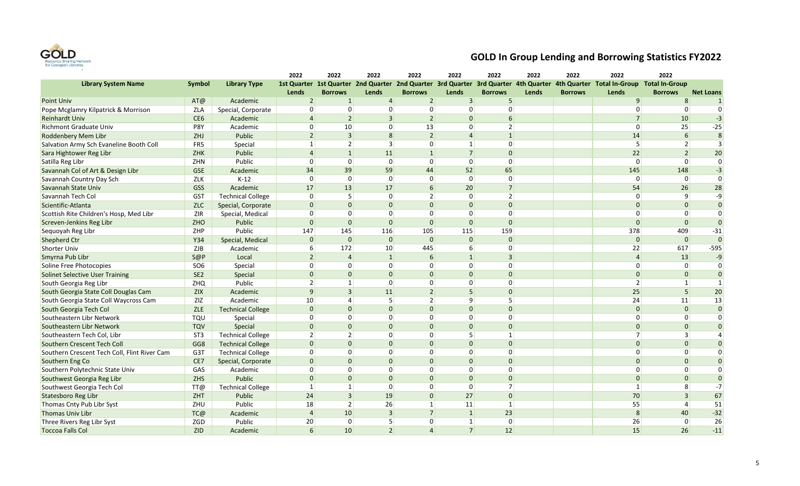

|                                              |                 |                          | 2022           | 2022            | 2022           | 2022           | 2022           | 2022           | 2022  | 2022           | 2022                                                                                                                          | 2022             |                  |
|----------------------------------------------|-----------------|--------------------------|----------------|-----------------|----------------|----------------|----------------|----------------|-------|----------------|-------------------------------------------------------------------------------------------------------------------------------|------------------|------------------|
| <b>Library System Name</b>                   | <b>Symbol</b>   | <b>Library Type</b>      |                |                 |                |                |                |                |       |                | 1st Quarter 1st Quarter 2nd Quarter 2nd Quarter 3rd Quarter 3rd Quarter 4th Quarter 4th Quarter Total In-Group Total In-Group |                  |                  |
|                                              |                 |                          | Lends          | <b>Borrows</b>  | <b>Lends</b>   | <b>Borrows</b> | Lends          | <b>Borrows</b> | Lends | <b>Borrows</b> | Lends                                                                                                                         | <b>Borrows</b>   | <b>Net Loans</b> |
| <b>Point Univ</b>                            | AT@             | Academic                 | $\overline{2}$ | $\mathbf{1}$    | $\vert$        | $\overline{2}$ | $\overline{3}$ | 5              |       |                | 9                                                                                                                             | 8                | $\mathbf{1}$     |
| Pope Mcglamry Kilpatrick & Morrison          | ZLA             | Special, Corporate       | $\Omega$       | $\Omega$        | $\overline{0}$ | $\overline{0}$ | $\Omega$       | $\Omega$       |       |                | $\Omega$                                                                                                                      | $\Omega$         | $\Omega$         |
| <b>Reinhardt Univ</b>                        | CE <sub>6</sub> | Academic                 | $\Delta$       | $\overline{2}$  | $\overline{3}$ | 2 <sup>1</sup> | $\Omega$       | 6              |       |                | $\overline{7}$                                                                                                                | 10               | $-3$             |
| <b>Richmont Graduate Univ</b>                | P8Y             | Academic                 | $\Omega$       | 10 <sup>1</sup> | $\overline{0}$ | 13             | $\Omega$       | $\overline{2}$ |       |                | $\Omega$                                                                                                                      | 25               | $-25$            |
| <b>Roddenbery Mem Libr</b>                   | ZHJ             | Public                   | $\overline{2}$ | $\overline{3}$  | 8              | $\overline{2}$ | $\Delta$       | $\mathbf{1}$   |       |                | 14                                                                                                                            | $6 \overline{6}$ | 8                |
| Salvation Army Sch Evaneline Booth Coll      | FR5             | Special                  | $\mathbf{1}$   | $\overline{2}$  | 3              | $\overline{0}$ | $1\vert$       | $\Omega$       |       |                | 5                                                                                                                             | $\overline{2}$   | $\overline{3}$   |
| Sara Hightower Reg Libr                      | <b>ZHK</b>      | Public                   | $\Delta$       | 1               | 11             | 1              | 7              | $\Omega$       |       |                | 22                                                                                                                            | $\overline{2}$   | 20               |
| Satilla Reg Libr                             | ZHN             | Public                   | $\Omega$       | $\overline{0}$  | 0              | $\overline{0}$ | $\Omega$       | $\Omega$       |       |                | $\overline{0}$                                                                                                                | $\Omega$         | $\overline{0}$   |
| Savannah Col of Art & Design Libr            | <b>GSE</b>      | Academic                 | 34             | 39              | 59             | 44             | 52             | 65             |       |                | 145                                                                                                                           | 148              | $-3$             |
| Savannah Country Day Sch                     | ZLK             | $K-12$                   | $\mathbf 0$    | $\overline{0}$  | 0              | $\overline{0}$ | $\overline{0}$ | $\mathbf 0$    |       |                | $\overline{0}$                                                                                                                | $\overline{0}$   | $\Omega$         |
| Savannah State Univ                          | <b>GSS</b>      | Academic                 | 17             | 13              | 17             | 6              | 20             | $\overline{7}$ |       |                | 54                                                                                                                            | 26               | 28               |
| Savannah Tech Col                            | <b>GST</b>      | <b>Technical College</b> | $\Omega$       | 5               | $\overline{0}$ | 2 <sup>1</sup> | $\Omega$       | $\overline{2}$ |       |                | $\overline{0}$                                                                                                                | 9                | $-9$             |
| Scientific-Atlanta                           | <b>ZLC</b>      | Special, Corporate       | $\Omega$       | $\Omega$        | $\Omega$       | $\Omega$       | $\Omega$       | $\Omega$       |       |                | $\Omega$                                                                                                                      | $\Omega$         | $\overline{0}$   |
| Scottish Rite Children's Hosp, Med Libr      | <b>ZIR</b>      | Special, Medical         | $\Omega$       | $\overline{0}$  | $\overline{0}$ | $\Omega$       | $\Omega$       | $\Omega$       |       |                | $\Omega$                                                                                                                      | $\Omega$         | $\Omega$         |
| Screven-Jenkins Reg Libr                     | ZHO             | Public                   | $\Omega$       | $\overline{0}$  | $\overline{0}$ | $\overline{0}$ | $\overline{0}$ | $\mathbf{0}$   |       |                | $\Omega$                                                                                                                      | $\Omega$         | $\overline{0}$   |
| Sequoyah Reg Libr                            | ZHP             | Public                   | 147            | 145             | 116            | 105            | 115            | 159            |       |                | 378                                                                                                                           | 409              | $-31$            |
| <b>Shepherd Ctr</b>                          | Y34             | Special, Medical         | $\Omega$       | $\overline{0}$  | $\overline{0}$ | $\Omega$       | $\Omega$       | $\mathbf{0}$   |       |                | $\overline{0}$                                                                                                                | $\overline{0}$   | $\overline{0}$   |
| <b>Shorter Univ</b>                          | ZJB             | Academic                 |                | 172             | 10             | 445            | 6              | $\Omega$       |       |                | 22                                                                                                                            | 617              | $-595$           |
| Smyrna Pub Libr                              | S@P             | Local                    | $\overline{2}$ | $\overline{a}$  | $\vert$ 1      | 6              | $\mathbf{1}$   | $\overline{3}$ |       |                | $\overline{4}$                                                                                                                | 13               | $-9$             |
| Soline Free Photocopies                      | SO <sub>6</sub> | Special                  | $\Omega$       | $\overline{0}$  | $\overline{0}$ | $\overline{0}$ | $\overline{0}$ | $\mathbf 0$    |       |                | $\Omega$                                                                                                                      | $\overline{0}$   | $\Omega$         |
| <b>Solinet Selective User Training</b>       | SE <sub>2</sub> | Special                  | $\Omega$       | $\overline{0}$  | $\overline{0}$ | $\Omega$       | $\Omega$       | $\mathbf{0}$   |       |                | $\overline{0}$                                                                                                                | $\overline{0}$   | $\overline{0}$   |
| South Georgia Reg Libr                       | ZHQ             | Public                   | $\mathcal{P}$  | $1\vert$        | $\overline{0}$ | $\overline{0}$ | $\Omega$       | $\mathbf 0$    |       |                | $\overline{2}$                                                                                                                | $\mathbf{1}$     | $\vert$ 1        |
| South Georgia State Coll Douglas Cam         | <b>ZIX</b>      | Academic                 | $\mathsf{q}$   | 3               | 11             | $\overline{2}$ | 5              | $\Omega$       |       |                | 25                                                                                                                            | 5                | 20               |
| South Georgia State Coll Waycross Cam        | ZIZ             | Academic                 | 10             | 4               | 5 <sup>2</sup> | 2              | 9              | 5              |       |                | 24                                                                                                                            | 11               | 13               |
| South Georgia Tech Col                       | ZLE             | <b>Technical College</b> | $\Omega$       | $\Omega$        | $\overline{0}$ | $\Omega$       | $\Omega$       | $\Omega$       |       |                | $\Omega$                                                                                                                      | $\Omega$         | $\Omega$         |
| Southeastern Libr Network                    | <b>TQU</b>      | Special                  | $\Omega$       | $\overline{0}$  | $\overline{0}$ | $\Omega$       | $\Omega$       | $\Omega$       |       |                | 0                                                                                                                             | $\overline{0}$   | $\overline{0}$   |
| Southeastern Libr Network                    | <b>TQV</b>      | Special                  | $\Omega$       | $\Omega$        | $\Omega$       | $\Omega$       | $\Omega$       | $\Omega$       |       |                | $\Omega$                                                                                                                      | $\Omega$         | $\Omega$         |
| Southeastern Tech Col, Libr                  | ST <sub>3</sub> | <b>Technical College</b> | $\mathcal{P}$  | $\overline{2}$  | $\overline{0}$ | $\overline{0}$ | 5              | $\mathbf{1}$   |       |                | 7                                                                                                                             | 3                | $\vert$          |
| Southern Crescent Tech Coll                  | GG8             | <b>Technical College</b> | $\Omega$       | $\overline{0}$  | $\overline{0}$ | $\Omega$       | $\Omega$       | $\mathbf 0$    |       |                | $\overline{0}$                                                                                                                | $\overline{0}$   | $\overline{0}$   |
| Southern Crescent Tech Coll, Flint River Cam | G3T             | <b>Technical College</b> | $\Omega$       | $\Omega$        | $\Omega$       | $\Omega$       | $\Omega$       | $\Omega$       |       |                | $\Omega$                                                                                                                      | $\Omega$         | $\Omega$         |
| Southern Eng Co                              | CE7             | Special, Corporate       | $\Omega$       | $\overline{0}$  | $\Omega$       | $\Omega$       | $\Omega$       | $\Omega$       |       |                | $\Omega$                                                                                                                      | $\Omega$         | $\overline{0}$   |
| Southern Polytechnic State Univ              | GAS             | Academic                 | $\Omega$       | $\Omega$        | $\overline{0}$ | $\Omega$       | $\Omega$       | $\Omega$       |       |                | $\Omega$                                                                                                                      | $\Omega$         | $\Omega$         |
| Southwest Georgia Reg Libr                   | <b>ZHS</b>      | Public                   | $\Omega$       | $\overline{0}$  | $\overline{0}$ | $\Omega$       | $\Omega$       | $\mathbf{0}$   |       |                | $\Omega$                                                                                                                      | $\Omega$         | $\overline{0}$   |
| Southwest Georgia Tech Col                   | TT@             | <b>Technical College</b> | $\mathbf{1}$   | $1\vert$        | $\overline{0}$ | $\overline{0}$ | $\overline{0}$ | $\overline{7}$ |       |                | $\mathbf{1}$                                                                                                                  | 8 <sup>1</sup>   | $-7$             |
| Statesboro Reg Libr                          | <b>ZHT</b>      | Public                   | 24             | $\overline{3}$  | 19             | $\overline{0}$ | 27             | $\mathbf{0}$   |       |                | 70                                                                                                                            | $\overline{3}$   | 67               |
| Thomas Cnty Pub Libr Syst                    | ZHU             | Public                   | 18             | $\overline{2}$  | 26             | $\mathbf{1}$   | 11             | $\mathbf{1}$   |       |                | 55                                                                                                                            | $\overline{4}$   | 51               |
| <b>Thomas Univ Libr</b>                      | TC@             | Academic                 | $\Delta$       | 10              | $\vert$ 3      | 7              | $\vert$ 1      | 23             |       |                | 8                                                                                                                             | 40               | $-32$            |
| Three Rivers Reg Libr Syst                   | ZGD             | Public                   | 20             | $\overline{0}$  | 5 <sup>1</sup> | $\overline{0}$ | $\mathbf{1}$   | $\mathbf 0$    |       |                | 26                                                                                                                            | 0                | 26               |
| <b>Toccoa Falls Col</b>                      | <b>ZID</b>      | Academic                 | $\sqrt{6}$     | 10              | 2 <sup>1</sup> | $\Delta$       | 7              | 12             |       |                | 15                                                                                                                            | 26               | $-11$            |